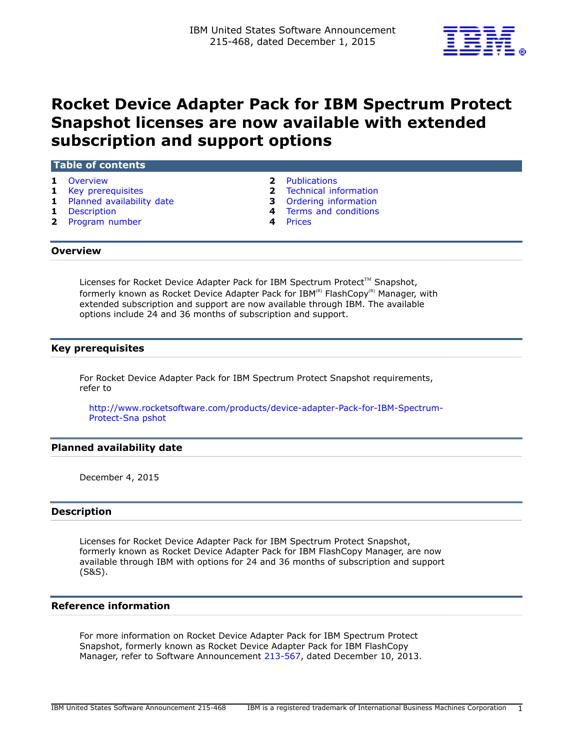

# **Rocket Device Adapter Pack for IBM Spectrum Protect Snapshot licenses are now available with extended subscription and support options**

## **Table of contents**

- 
- 
- **1** [Planned availability date](#page-0-2) **3** [Ordering information](#page-2-0)
- 
- **2** [Program number](#page-1-2) **4** [Prices](#page-3-1)
- **1** [Overview](#page-0-0) **2** [Publications](#page-1-0)
- **1** [Key prerequisites](#page-0-1) **2** [Technical information](#page-1-1)
	-
- **1** [Description](#page-0-3) **4** [Terms and conditions](#page-3-0)
	-

# <span id="page-0-0"></span>**Overview**

Licenses for Rocket Device Adapter Pack for IBM Spectrum Protect™ Snapshot, formerly known as Rocket Device Adapter Pack for  $IBM^{(R)}$  FlashCopy<sup>(R)</sup> Manager, with extended subscription and support are now available through IBM. The available options include 24 and 36 months of subscription and support.

# <span id="page-0-1"></span>**Key prerequisites**

For Rocket Device Adapter Pack for IBM Spectrum Protect Snapshot requirements, refer to

[http://www.rocketsoftware.com/products/device-adapter-Pack-for-IBM-Spectrum-](http://www.rocketsoftware.com/products/device-adapter-Pack-for-IBM-Spectrum-Protect-Snapshot)[Protect-Sna pshot](http://www.rocketsoftware.com/products/device-adapter-Pack-for-IBM-Spectrum-Protect-Snapshot)

# <span id="page-0-2"></span>**Planned availability date**

December 4, 2015

## <span id="page-0-3"></span>**Description**

Licenses for Rocket Device Adapter Pack for IBM Spectrum Protect Snapshot, formerly known as Rocket Device Adapter Pack for IBM FlashCopy Manager, are now available through IBM with options for 24 and 36 months of subscription and support (S&S).

## **Reference information**

For more information on Rocket Device Adapter Pack for IBM Spectrum Protect Snapshot, formerly known as Rocket Device Adapter Pack for IBM FlashCopy Manager, refer to Software Announcement [213-567](http://www.ibm.com/common/ssi/cgi-bin/ssialias?infotype=an&subtype=ca&appname=gpateam&supplier=897&letternum=ENUS213-567), dated December 10, 2013.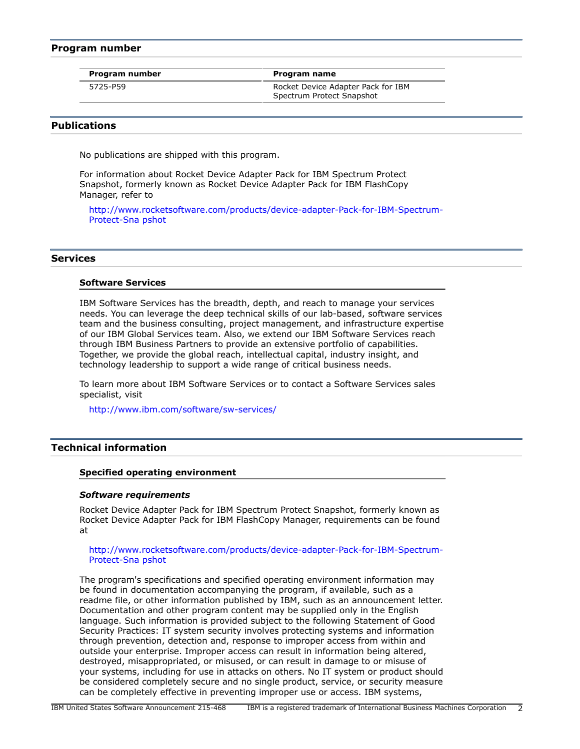## <span id="page-1-2"></span>**Program number**

|  |  |  | Program number |  |
|--|--|--|----------------|--|
|--|--|--|----------------|--|

5725-P59 Rocket Device Adapter Pack for IBM Spectrum Protect Snapshot

**Program name** 

# <span id="page-1-0"></span>**Publications**

No publications are shipped with this program.

For information about Rocket Device Adapter Pack for IBM Spectrum Protect Snapshot, formerly known as Rocket Device Adapter Pack for IBM FlashCopy Manager, refer to

[http://www.rocketsoftware.com/products/device-adapter-Pack-for-IBM-Spectrum-](http://www.rocketsoftware.com/products/device-adapter-Pack-for-IBM-Spectrum-Protect-Snapshot)[Protect-Sna pshot](http://www.rocketsoftware.com/products/device-adapter-Pack-for-IBM-Spectrum-Protect-Snapshot)

## **Services**

#### **Software Services**

IBM Software Services has the breadth, depth, and reach to manage your services needs. You can leverage the deep technical skills of our lab-based, software services team and the business consulting, project management, and infrastructure expertise of our IBM Global Services team. Also, we extend our IBM Software Services reach through IBM Business Partners to provide an extensive portfolio of capabilities. Together, we provide the global reach, intellectual capital, industry insight, and technology leadership to support a wide range of critical business needs.

To learn more about IBM Software Services or to contact a Software Services sales specialist, visit

<http://www.ibm.com/software/sw-services/>

# <span id="page-1-1"></span>**Technical information**

#### **Specified operating environment**

#### *Software requirements*

Rocket Device Adapter Pack for IBM Spectrum Protect Snapshot, formerly known as Rocket Device Adapter Pack for IBM FlashCopy Manager, requirements can be found at

#### [http://www.rocketsoftware.com/products/device-adapter-Pack-for-IBM-Spectrum-](http://www.rocketsoftware.com/products/device-adapter-Pack-for-IBM-Spectrum-Protect-Snapshot)[Protect-Sna pshot](http://www.rocketsoftware.com/products/device-adapter-Pack-for-IBM-Spectrum-Protect-Snapshot)

The program's specifications and specified operating environment information may be found in documentation accompanying the program, if available, such as a readme file, or other information published by IBM, such as an announcement letter. Documentation and other program content may be supplied only in the English language. Such information is provided subject to the following Statement of Good Security Practices: IT system security involves protecting systems and information through prevention, detection and, response to improper access from within and outside your enterprise. Improper access can result in information being altered, destroyed, misappropriated, or misused, or can result in damage to or misuse of your systems, including for use in attacks on others. No IT system or product should be considered completely secure and no single product, service, or security measure can be completely effective in preventing improper use or access. IBM systems,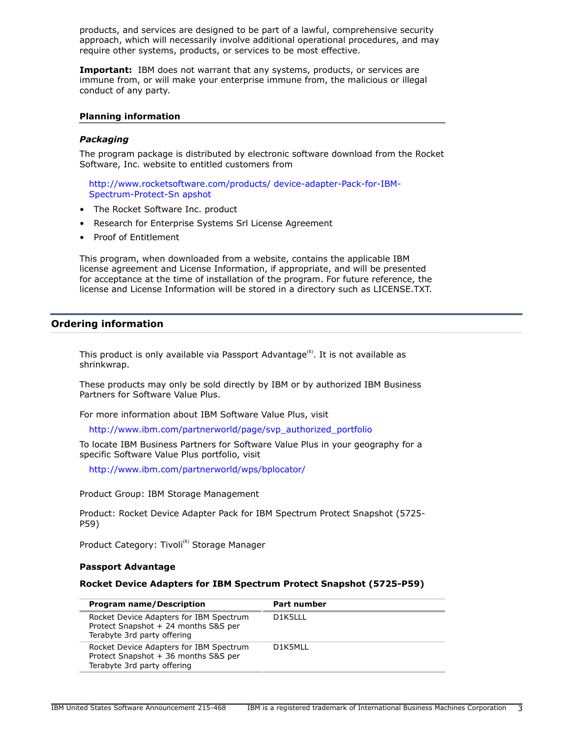products, and services are designed to be part of a lawful, comprehensive security approach, which will necessarily involve additional operational procedures, and may require other systems, products, or services to be most effective.

**Important:** IBM does not warrant that any systems, products, or services are immune from, or will make your enterprise immune from, the malicious or illegal conduct of any party.

## **Planning information**

#### *Packaging*

The program package is distributed by electronic software download from the Rocket Software, Inc. website to entitled customers from

[http://www.rocketsoftware.com/products/ device-adapter-Pack-for-IBM-](http://www.rocketsoftware.com/products/device-adapter-Pack-for-IBM-Spectrum-Protect-Snapshot)[Spectrum-Protect-Sn apshot](http://www.rocketsoftware.com/products/device-adapter-Pack-for-IBM-Spectrum-Protect-Snapshot)

- The Rocket Software Inc. product
- Research for Enterprise Systems Srl License Agreement
- Proof of Entitlement

This program, when downloaded from a website, contains the applicable IBM license agreement and License Information, if appropriate, and will be presented for acceptance at the time of installation of the program. For future reference, the license and License Information will be stored in a directory such as LICENSE.TXT.

# <span id="page-2-0"></span>**Ordering information**

This product is only available via Passport Advantage $R$ . It is not available as shrinkwrap.

These products may only be sold directly by IBM or by authorized IBM Business Partners for Software Value Plus.

For more information about IBM Software Value Plus, visit

[http://www.ibm.com/partnerworld/page/svp\\_authorized\\_portfolio](http://www.ibm.com/partnerworld/page/svp_authorized_portfolio)

To locate IBM Business Partners for Software Value Plus in your geography for a specific Software Value Plus portfolio, visit

<http://www.ibm.com/partnerworld/wps/bplocator/>

Product Group: IBM Storage Management

Product: Rocket Device Adapter Pack for IBM Spectrum Protect Snapshot (5725- P59)

Product Category: Tivoli<sup>(R)</sup> Storage Manager

# **Passport Advantage**

#### **Rocket Device Adapters for IBM Spectrum Protect Snapshot (5725-P59)**

| <b>Program name/Description</b>                                                                                | <b>Part number</b> |
|----------------------------------------------------------------------------------------------------------------|--------------------|
| Rocket Device Adapters for IBM Spectrum<br>Protect Snapshot + 24 months S&S per<br>Terabyte 3rd party offering | D1K5LLL            |
| Rocket Device Adapters for IBM Spectrum<br>Protect Snapshot + 36 months S&S per<br>Terabyte 3rd party offering | D1K5MLL            |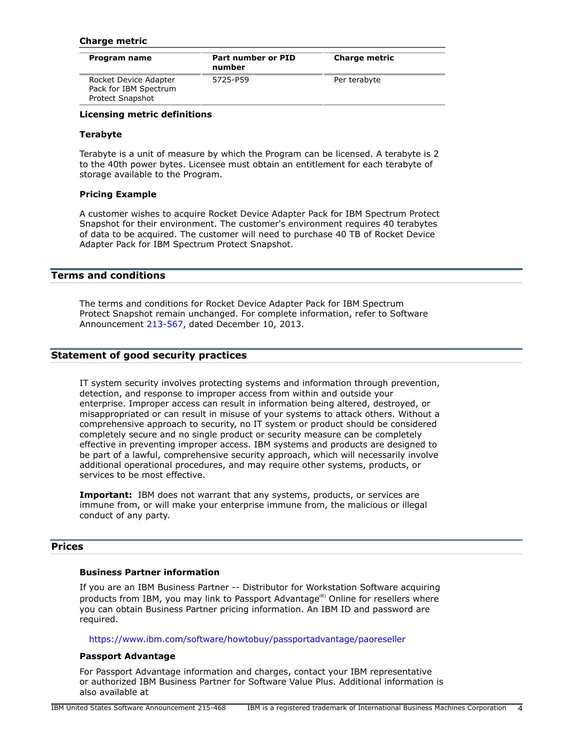## **Charge metric**

| Program name                                                       | Part number or PID<br>number | <b>Charge metric</b> |
|--------------------------------------------------------------------|------------------------------|----------------------|
| Rocket Device Adapter<br>Pack for IBM Spectrum<br>Protect Snapshot | 5725-P59                     | Per terabyte         |

## **Licensing metric definitions**

## **Terabyte**

Terabyte is a unit of measure by which the Program can be licensed. A terabyte is 2 to the 40th power bytes. Licensee must obtain an entitlement for each terabyte of storage available to the Program.

#### **Pricing Example**

A customer wishes to acquire Rocket Device Adapter Pack for IBM Spectrum Protect Snapshot for their environment. The customer's environment requires 40 terabytes of data to be acquired. The customer will need to purchase 40 TB of Rocket Device Adapter Pack for IBM Spectrum Protect Snapshot.

# <span id="page-3-0"></span>**Terms and conditions**

The terms and conditions for Rocket Device Adapter Pack for IBM Spectrum Protect Snapshot remain unchanged. For complete information, refer to Software Announcement [213-567](http://www.ibm.com/common/ssi/cgi-bin/ssialias?infotype=an&subtype=ca&appname=gpateam&supplier=897&letternum=ENUS213-567), dated December 10, 2013.

# **Statement of good security practices**

IT system security involves protecting systems and information through prevention, detection, and response to improper access from within and outside your enterprise. Improper access can result in information being altered, destroyed, or misappropriated or can result in misuse of your systems to attack others. Without a comprehensive approach to security, no IT system or product should be considered completely secure and no single product or security measure can be completely effective in preventing improper access. IBM systems and products are designed to be part of a lawful, comprehensive security approach, which will necessarily involve additional operational procedures, and may require other systems, products, or services to be most effective.

**Important:** IBM does not warrant that any systems, products, or services are immune from, or will make your enterprise immune from, the malicious or illegal conduct of any party.

## <span id="page-3-1"></span>**Prices**

## **Business Partner information**

If you are an IBM Business Partner -- Distributor for Workstation Software acquiring products from IBM, you may link to Passport Advantage ${}^{\textrm{\tiny(R)}}$  Online for resellers where you can obtain Business Partner pricing information. An IBM ID and password are required.

<https://www.ibm.com/software/howtobuy/passportadvantage/paoreseller>

#### **Passport Advantage**

For Passport Advantage information and charges, contact your IBM representative or authorized IBM Business Partner for Software Value Plus. Additional information is also available at